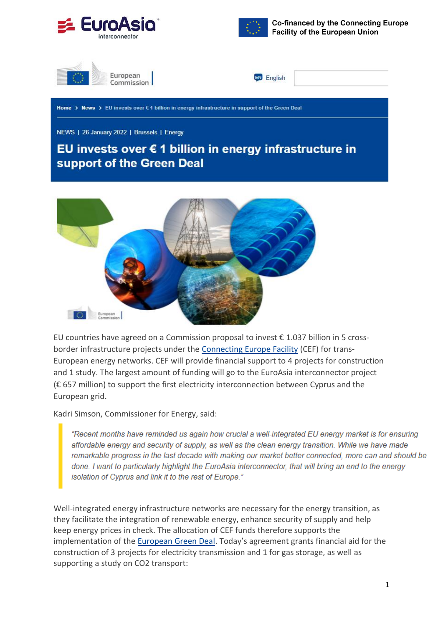



**Co-financed by the Connecting Europe Facility of the European Union** 





Home > News > EU invests over € 1 billion in energy infrastructure in support of the Green Deal

NEWS | 26 January 2022 | Brussels | Energy

## EU invests over € 1 billion in energy infrastructure in support of the Green Deal



EU countries have agreed on a Commission proposal to invest  $\epsilon$  1.037 billion in 5 crossborder infrastructure projects under the [Connecting Europe Facility](https://cinea.ec.europa.eu/connecting-europe-facility_en) (CEF) for trans-European energy networks. CEF will provide financial support to 4 projects for construction and 1 study. The largest amount of funding will go to the EuroAsia interconnector project (€ 657 million) to support the first electricity interconnection between Cyprus and the European grid.

Kadri Simson, Commissioner for Energy, said:

"Recent months have reminded us again how crucial a well-integrated EU energy market is for ensuring affordable energy and security of supply, as well as the clean energy transition. While we have made remarkable progress in the last decade with making our market better connected, more can and should be done. I want to particularly highlight the EuroAsia interconnector, that will bring an end to the energy isolation of Cyprus and link it to the rest of Europe."

Well-integrated energy infrastructure networks are necessary for the energy transition, as they facilitate the integration of renewable energy, enhance security of supply and help keep energy prices in check. The allocation of CEF funds therefore supports the implementation of the [European Green Deal](https://ec.europa.eu/info/strategy/priorities-2019-2024/european-green-deal_en). Today's agreement grants financial aid for the construction of 3 projects for electricity transmission and 1 for gas storage, as well as supporting a study on CO2 transport: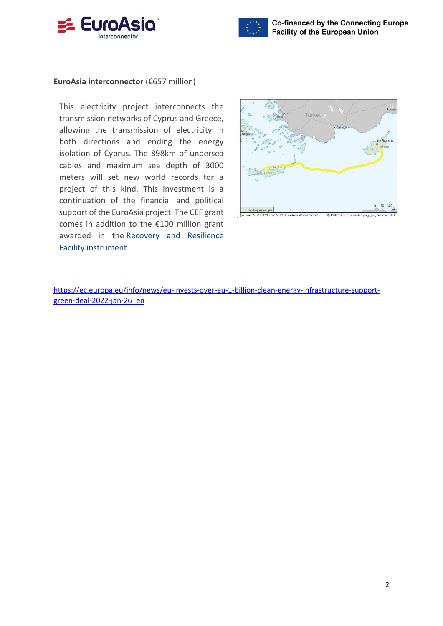



## **EuroAsia interconnector** (€657 million)

This electricity project interconnects the transmission networks of Cyprus and Greece, allowing the transmission of electricity in both directions and ending the energy isolation of Cyprus. The 898km of undersea cables and maximum sea depth of 3000 meters will set new world records for a project of this kind. This investment is a continuation of the financial and political support of the EuroAsia project. The CEF grant comes in addition to the €100 million grant awarded in the [Recovery and Resilience](https://ec.europa.eu/info/business-economy-euro/recovery-coronavirus/recovery-and-resilience-facility_en)  [Facility instrument](https://ec.europa.eu/info/business-economy-euro/recovery-coronavirus/recovery-and-resilience-facility_en)



[https://ec.europa.eu/info/news/eu-invests-over-eu-1-billion-clean-energy-infrastructure-support](https://ec.europa.eu/info/news/eu-invests-over-eu-1-billion-clean-energy-infrastructure-support-green-deal-2022-jan-26_en)[green-deal-2022-jan-26\\_en](https://ec.europa.eu/info/news/eu-invests-over-eu-1-billion-clean-energy-infrastructure-support-green-deal-2022-jan-26_en)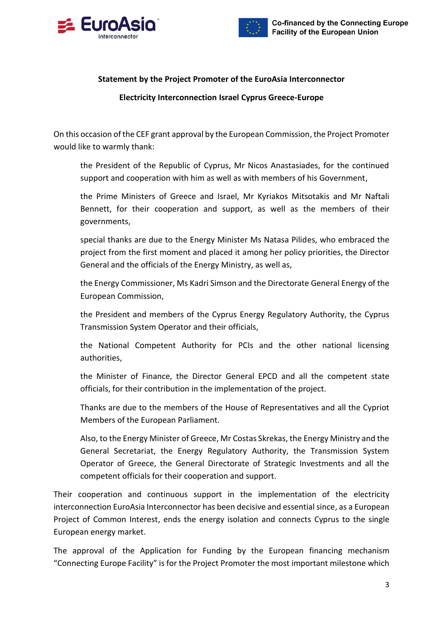



## **Statement by the Project Promoter of the EuroAsia Interconnector**

## **Electricity Interconnection Israel Cyprus Greece-Europe**

On this occasion of the CEF grant approval by the European Commission, the Project Promoter would like to warmly thank:

the President of the Republic of Cyprus, Mr Nicos Anastasiades, for the continued support and cooperation with him as well as with members of his Government,

the Prime Ministers of Greece and Israel, Mr Kyriakos Mitsotakis and Mr Naftali Bennett, for their cooperation and support, as well as the members of their governments,

special thanks are due to the Energy Minister Ms Natasa Pilides, who embraced the project from the first moment and placed it among her policy priorities, the Director General and the officials of the Energy Ministry, as well as,

the Energy Commissioner, Ms Kadri Simson and the Directorate General Energy of the European Commission,

the President and members of the Cyprus Energy Regulatory Authority, the Cyprus Transmission System Operator and their officials,

the National Competent Authority for PCIs and the other national licensing authorities,

the Minister of Finance, the Director General EPCD and all the competent state officials, for their contribution in the implementation of the project.

Thanks are due to the members of the House of Representatives and all the Cypriot Members of the European Parliament.

Also, to the Energy Minister of Greece, Mr Costas Skrekas, the Energy Ministry and the General Secretariat, the Energy Regulatory Authority, the Transmission System Operator of Greece, the General Directorate of Strategic Investments and all the competent officials for their cooperation and support.

Their cooperation and continuous support in the implementation of the electricity interconnection EuroAsia Interconnector has been decisive and essential since, as a European Project of Common Interest, ends the energy isolation and connects Cyprus to the single European energy market.

The approval of the Application for Funding by the European financing mechanism "Connecting Europe Facility" is for the Project Promoter the most important milestone which